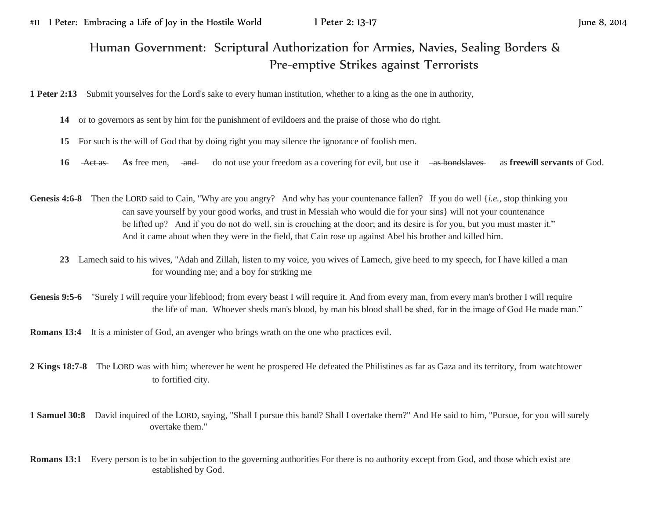## Human Government: Scriptural Authorization for Armies, Navies, Sealing Borders & Pre-emptive Strikes against Terrorists

**1 Peter 2:13** Submit yourselves for the Lord's sake to every human institution, whether to a king as the one in authority,

- **14** or to governors as sent by him for the punishment of evildoers and the praise of those who do right.
- **15** For such is the will of God that by doing right you may silence the ignorance of foolish men.
- **16** Act as **As** free men, and do not use your freedom as a covering for evil, but use it as **bondslaves** as **freewill servants** of God.
- Genesis 4:6-8 Then the LORD said to Cain, "Why are you angry? And why has your countenance fallen? If you do well {*i.e.*, stop thinking you can save yourself by your good works, and trust in Messiah who would die for your sins} will not your countenance be lifted up? And if you do not do well, sin is crouching at the door; and its desire is for you, but you must master it." And it came about when they were in the field, that Cain rose up against Abel his brother and killed him.
	- **23** Lamech said to his wives, "Adah and Zillah, listen to my voice, you wives of Lamech, give heed to my speech, for I have killed a man for wounding me; and a boy for striking me
- Genesis 9:5-6 "Surely I will require your lifeblood; from every beast I will require it. And from every man, from every man's brother I will require the life of man. Whoever sheds man's blood, by man his blood shall be shed, for in the image of God He made man."

**Romans 13:4** It is a minister of God, an avenger who brings wrath on the one who practices evil.

- **2 Kings 18:7-8** The LORD was with him; wherever he went he prospered He defeated the Philistines as far as Gaza and its territory, from watchtower to fortified city.
- **1 Samuel 30:8** David inquired of the LORD, saying, "Shall I pursue this band? Shall I overtake them?" And He said to him, "Pursue, for you will surely overtake them."
- **Romans 13:1** Every person is to be in subjection to the governing authorities For there is no authority except from God, and those which exist are established by God.